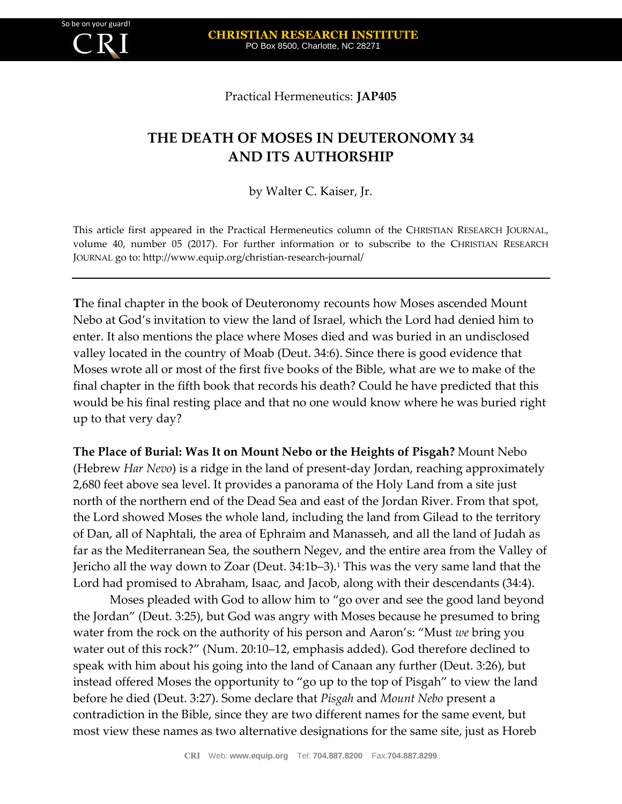Practical Hermeneutics: **JAP405**

## **THE DEATH OF MOSES IN DEUTERONOMY 34 AND ITS AUTHORSHIP**

by Walter C. Kaiser, Jr.

This article first appeared in the Practical Hermeneutics column of the CHRISTIAN RESEARCH JOURNAL, volume 40, number 05 (2017). For further information or to subscribe to the CHRISTIAN RESEARCH JOURNAL go to: http://www.equip.org/christian-research-journal/

**T**he final chapter in the book of Deuteronomy recounts how Moses ascended Mount Nebo at God's invitation to view the land of Israel, which the Lord had denied him to enter. It also mentions the place where Moses died and was buried in an undisclosed valley located in the country of Moab (Deut. 34:6). Since there is good evidence that Moses wrote all or most of the first five books of the Bible, what are we to make of the final chapter in the fifth book that records his death? Could he have predicted that this would be his final resting place and that no one would know where he was buried right up to that very day?

**The Place of Burial: Was It on Mount Nebo or the Heights of Pisgah?** Mount Nebo (Hebrew *Har Nevo*) is a ridge in the land of present-day Jordan, reaching approximately 2,680 feet above sea level. It provides a panorama of the Holy Land from a site just north of the northern end of the Dead Sea and east of the Jordan River. From that spot, the Lord showed Moses the whole land, including the land from Gilead to the territory of Dan, all of Naphtali, the area of Ephraim and Manasseh, and all the land of Judah as far as the Mediterranean Sea, the southern Negev, and the entire area from the Valley of Jericho all the way down to Zoar (Deut. 34:1b–3).<sup>1</sup> This was the very same land that the Lord had promised to Abraham, Isaac, and Jacob, along with their descendants (34:4).

Moses pleaded with God to allow him to "go over and see the good land beyond the Jordan" (Deut. 3:25), but God was angry with Moses because he presumed to bring water from the rock on the authority of his person and Aaron's: "Must *we* bring you water out of this rock?" (Num. 20:10–12, emphasis added). God therefore declined to speak with him about his going into the land of Canaan any further (Deut. 3:26), but instead offered Moses the opportunity to "go up to the top of Pisgah" to view the land before he died (Deut. 3:27). Some declare that *Pisgah* and *Mount Nebo* present a contradiction in the Bible, since they are two different names for the same event, but most view these names as two alternative designations for the same site, just as Horeb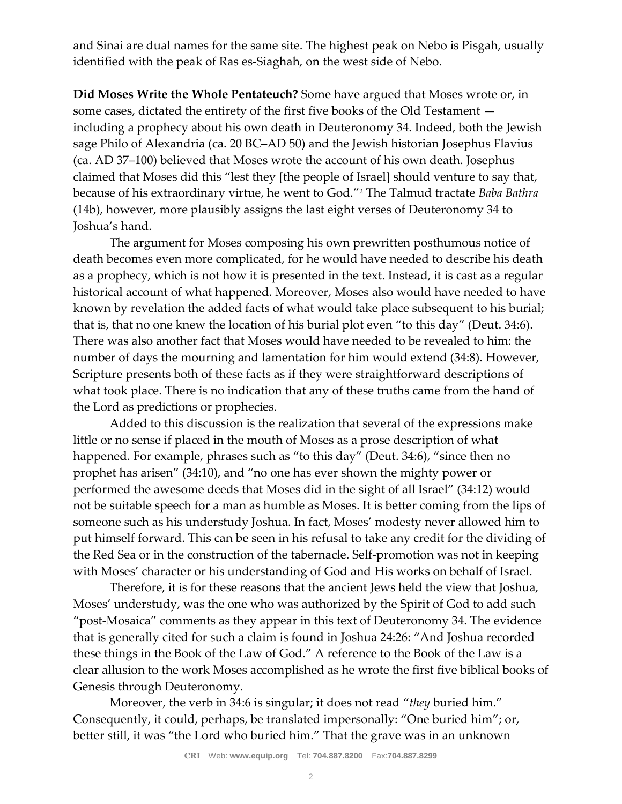and Sinai are dual names for the same site. The highest peak on Nebo is Pisgah, usually identified with the peak of Ras es-Siaghah, on the west side of Nebo.

**Did Moses Write the Whole Pentateuch?** Some have argued that Moses wrote or, in some cases, dictated the entirety of the first five books of the Old Testament including a prophecy about his own death in Deuteronomy 34. Indeed, both the Jewish sage Philo of Alexandria (ca. 20 BC–AD 50) and the Jewish historian Josephus Flavius (ca. AD 37–100) believed that Moses wrote the account of his own death. Josephus claimed that Moses did this "lest they [the people of Israel] should venture to say that, because of his extraordinary virtue, he went to God."<sup>2</sup> The Talmud tractate *Baba Bathra* (14b), however, more plausibly assigns the last eight verses of Deuteronomy 34 to Joshua's hand.

The argument for Moses composing his own prewritten posthumous notice of death becomes even more complicated, for he would have needed to describe his death as a prophecy, which is not how it is presented in the text. Instead, it is cast as a regular historical account of what happened. Moreover, Moses also would have needed to have known by revelation the added facts of what would take place subsequent to his burial; that is, that no one knew the location of his burial plot even "to this day" (Deut. 34:6). There was also another fact that Moses would have needed to be revealed to him: the number of days the mourning and lamentation for him would extend (34:8). However, Scripture presents both of these facts as if they were straightforward descriptions of what took place. There is no indication that any of these truths came from the hand of the Lord as predictions or prophecies.

Added to this discussion is the realization that several of the expressions make little or no sense if placed in the mouth of Moses as a prose description of what happened. For example, phrases such as "to this day" (Deut. 34:6), "since then no prophet has arisen" (34:10), and "no one has ever shown the mighty power or performed the awesome deeds that Moses did in the sight of all Israel" (34:12) would not be suitable speech for a man as humble as Moses. It is better coming from the lips of someone such as his understudy Joshua. In fact, Moses' modesty never allowed him to put himself forward. This can be seen in his refusal to take any credit for the dividing of the Red Sea or in the construction of the tabernacle. Self-promotion was not in keeping with Moses' character or his understanding of God and His works on behalf of Israel.

Therefore, it is for these reasons that the ancient Jews held the view that Joshua, Moses' understudy, was the one who was authorized by the Spirit of God to add such "post-Mosaica" comments as they appear in this text of Deuteronomy 34. The evidence that is generally cited for such a claim is found in Joshua 24:26: "And Joshua recorded these things in the Book of the Law of God." A reference to the Book of the Law is a clear allusion to the work Moses accomplished as he wrote the first five biblical books of Genesis through Deuteronomy.

Moreover, the verb in 34:6 is singular; it does not read "*they* buried him." Consequently, it could, perhaps, be translated impersonally: "One buried him"; or, better still, it was "the Lord who buried him." That the grave was in an unknown